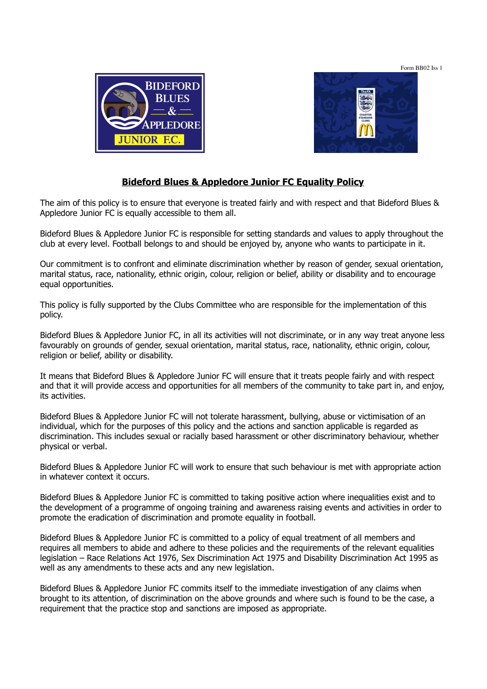Form BB02 Iss 1





## **Bideford Blues & Appledore Junior FC Equality Policy**

The aim of this policy is to ensure that everyone is treated fairly and with respect and that Bideford Blues & Appledore Junior FC is equally accessible to them all.

Bideford Blues & Appledore Junior FC is responsible for setting standards and values to apply throughout the club at every level. Football belongs to and should be enjoyed by, anyone who wants to participate in it.

Our commitment is to confront and eliminate discrimination whether by reason of gender, sexual orientation, marital status, race, nationality, ethnic origin, colour, religion or belief, ability or disability and to encourage equal opportunities.

This policy is fully supported by the Clubs Committee who are responsible for the implementation of this policy.

Bideford Blues & Appledore Junior FC, in all its activities will not discriminate, or in any way treat anyone less favourably on grounds of gender, sexual orientation, marital status, race, nationality, ethnic origin, colour, religion or belief, ability or disability.

It means that Bideford Blues & Appledore Junior FC will ensure that it treats people fairly and with respect and that it will provide access and opportunities for all members of the community to take part in, and enjoy, its activities.

Bideford Blues & Appledore Junior FC will not tolerate harassment, bullying, abuse or victimisation of an individual, which for the purposes of this policy and the actions and sanction applicable is regarded as discrimination. This includes sexual or racially based harassment or other discriminatory behaviour, whether physical or verbal.

Bideford Blues & Appledore Junior FC will work to ensure that such behaviour is met with appropriate action in whatever context it occurs.

Bideford Blues & Appledore Junior FC is committed to taking positive action where inequalities exist and to the development of a programme of ongoing training and awareness raising events and activities in order to promote the eradication of discrimination and promote equality in football.

Bideford Blues & Appledore Junior FC is committed to a policy of equal treatment of all members and requires all members to abide and adhere to these policies and the requirements of the relevant equalities legislation – Race Relations Act 1976, Sex Discrimination Act 1975 and Disability Discrimination Act 1995 as well as any amendments to these acts and any new legislation.

Bideford Blues & Appledore Junior FC commits itself to the immediate investigation of any claims when brought to its attention, of discrimination on the above grounds and where such is found to be the case, a requirement that the practice stop and sanctions are imposed as appropriate.